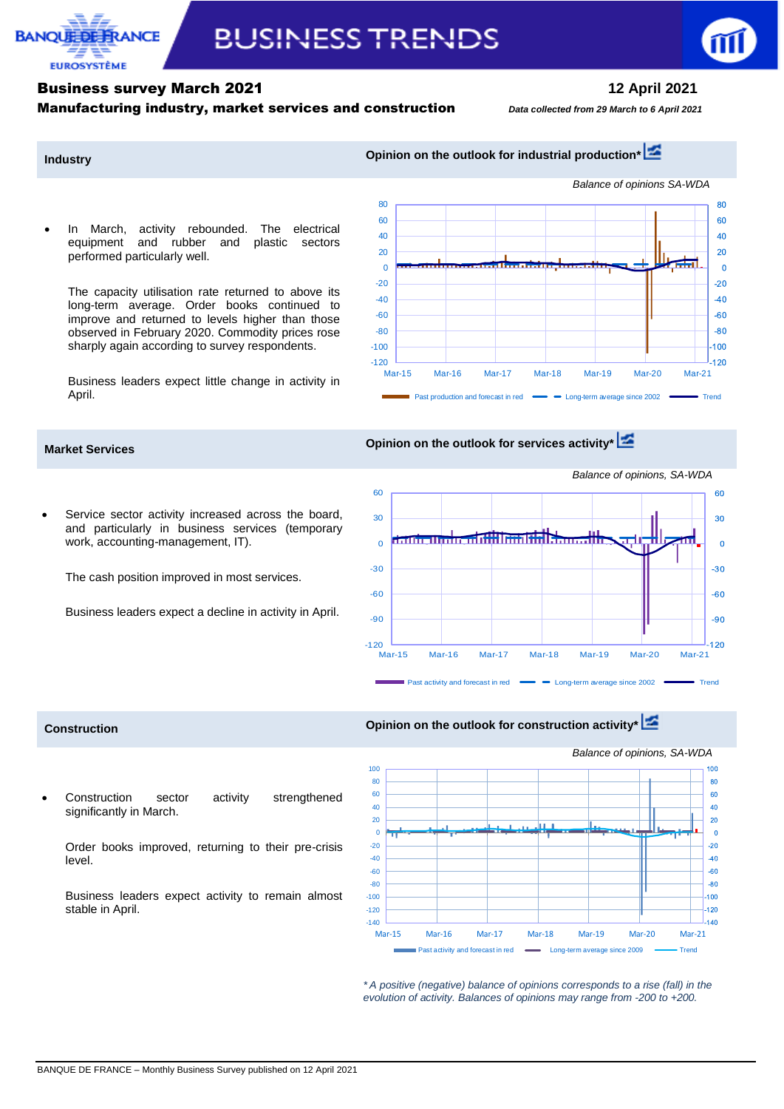

# **BUSINESS TRENDS**

—ا 120-<br>Mar-15 -100 -80 -60 -40  $-20$  $\theta$ 20 40  $60$ 80



*Balance of opinions SA-WDA*

80 60  $40$  $20$  $\Omega$  $-20$  $-40$  $-60$  $-80$  $.100$ 120

## **Industry Industry Opinion on the outlook for industrial production\***

 In March, activity rebounded. The electrical equipment and rubber and plastic sectors performed particularly well.

The capacity utilisation rate returned to above its long-term average. Order books continued to improve and returned to levels higher than those observed in February 2020. Commodity prices rose sharply again according to survey respondents.

Business leaders expect little change in activity in April.





 Service sector activity increased across the board, and particularly in business services (temporary work, accounting-management, IT).

The cash position improved in most services.

Business leaders expect a decline in activity in April.



Mar-15 Mar-16 Mar-17 Mar-18 Mar-19 Mar-20 Mar-21

Past production and forecast in red  $\longrightarrow$  Long-term average since 2002

 Construction sector activity strengthened significantly in March.

Order books improved, returning to their pre-crisis level.

Business leaders expect activity to remain almost stable in April.

**Construction Construction Opinion on the outlook for construction activity** 



*\* A positive (negative) balance of opinions corresponds to a rise (fall) in the evolution of activity. Balances of opinions may range from -200 to +200.*

*Balance of opinions, SA-WDA*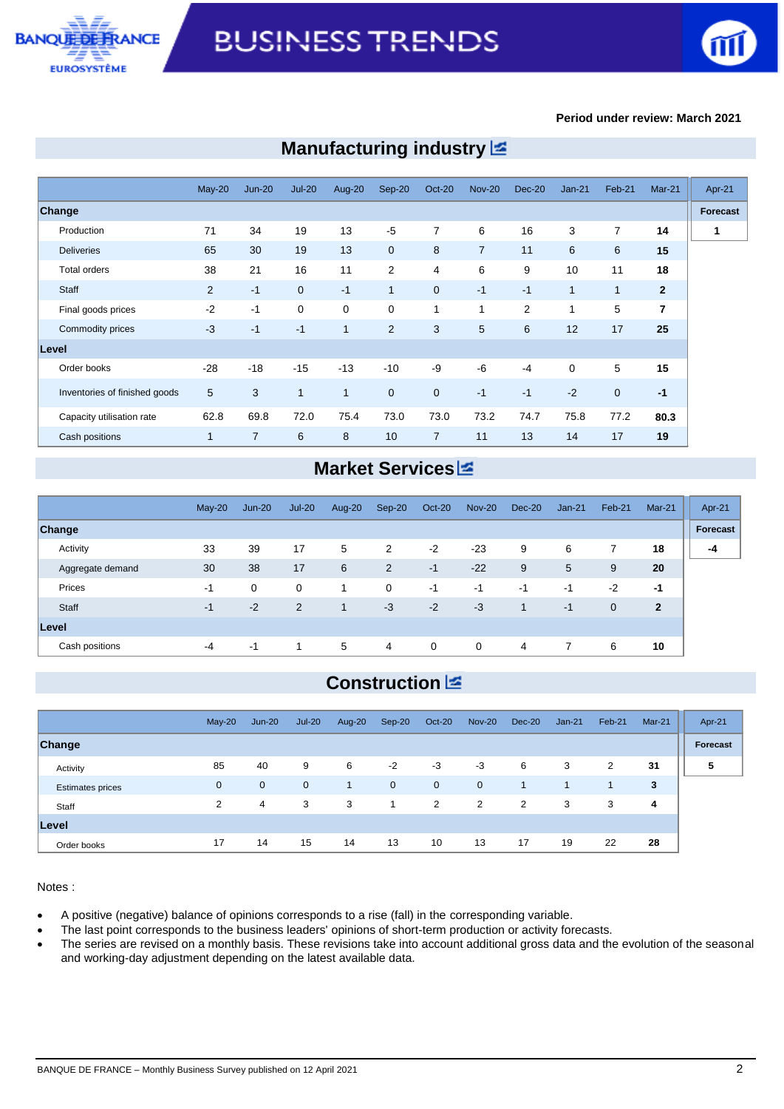



### **Period under review: March 2021**

|                               | $May-20$     | $Jun-20$       | $Jul-20$       | Aug-20       | Sep-20         | <b>Oct-20</b>  | <b>Nov-20</b>  | <b>Dec-20</b> | $Jan-21$     | Feb-21      | $Mar-21$       |
|-------------------------------|--------------|----------------|----------------|--------------|----------------|----------------|----------------|---------------|--------------|-------------|----------------|
| Change                        |              |                |                |              |                |                |                |               |              |             |                |
| Production                    | 71           | 34             | 19             | 13           | $-5$           | $\overline{7}$ | 6              | 16            | 3            | 7           | 14             |
| <b>Deliveries</b>             | 65           | 30             | 19             | 13           | $\mathbf{0}$   | 8              | $\overline{7}$ | 11            | 6            | 6           | 15             |
| <b>Total orders</b>           | 38           | 21             | 16             | 11           | 2              | 4              | 6              | 9             | 10           | 11          | 18             |
| Staff                         | 2            | $-1$           | $\overline{0}$ | $-1$         | $\overline{1}$ | $\overline{0}$ | $-1$           | $-1$          | 1            | 1           | $\overline{2}$ |
| Final goods prices            | $-2$         | $-1$           | $\mathbf 0$    | 0            | $\mathbf 0$    | $\mathbf{1}$   | $\mathbf{1}$   | 2             | $\mathbf{1}$ | 5           | $\overline{7}$ |
| Commodity prices              | $-3$         | $-1$           | $-1$           | $\mathbf{1}$ | 2              | 3              | 5              | 6             | 12           | 17          | 25             |
| Level                         |              |                |                |              |                |                |                |               |              |             |                |
| Order books                   | $-28$        | $-18$          | $-15$          | $-13$        | $-10$          | -9             | $-6$           | $-4$          | $\mathbf 0$  | 5           | 15             |
| Inventories of finished goods | 5            | 3              | 1              | $\mathbf{1}$ | $\overline{0}$ | $\mathbf{0}$   | $-1$           | $-1$          | $-2$         | $\mathbf 0$ | $-1$           |
| Capacity utilisation rate     | 62.8         | 69.8           | 72.0           | 75.4         | 73.0           | 73.0           | 73.2           | 74.7          | 75.8         | 77.2        | 80.3           |
| Cash positions                | $\mathbf{1}$ | $\overline{7}$ | 6              | 8            | 10             | $\overline{7}$ | 11             | 13            | 14           | 17          | 19             |

## **Manufacturing industry**

## **Market Services**

|                  | $May-20$ | $Jun-20$    | $Jul-20$    | Aug-20 | Sep-20         | Oct-20      | <b>Nov-20</b>  | Dec-20 | $Jan-21$ | Feb-21      | <b>Mar-21</b> | Apr-21   |
|------------------|----------|-------------|-------------|--------|----------------|-------------|----------------|--------|----------|-------------|---------------|----------|
| <b>Change</b>    |          |             |             |        |                |             |                |        |          |             |               | Forecast |
| Activity         | 33       | 39          | 17          | 5      | 2              | $-2$        | $-23$          | 9      | 6        | 7           | 18            | -4       |
| Aggregate demand | 30       | 38          | 17          | 6      | $\overline{2}$ | $-1$        | $-22$          | 9      | 5        | 9           | 20            |          |
| Prices           | -1       | $\mathbf 0$ | $\mathbf 0$ | 1      | $\mathbf 0$    | $-1$        | $-1$           | $-1$   | $-1$     | $-2$        | -1            |          |
| Staff            | -1       | $-2$        | 2           | 1      | $-3$           | $-2$        | $-3$           | 1      | $-1$     | $\mathbf 0$ | $\mathbf{2}$  |          |
| Level            |          |             |             |        |                |             |                |        |          |             |               |          |
| Cash positions   | $-4$     | $-1$        |             | 5      | $\overline{4}$ | $\mathbf 0$ | $\overline{0}$ | 4      |          | 6           | 10            |          |

## **Construction**

|                         | $May-20$    | $Jun-20$       | $Jul-20$    | Aug-20       | $Sep-20$    | Oct-20      | <b>Nov-20</b>  | Dec-20 | $Jan-21$ | Feb-21 | $Mar-21$ | Apr-21   |
|-------------------------|-------------|----------------|-------------|--------------|-------------|-------------|----------------|--------|----------|--------|----------|----------|
| Change                  |             |                |             |              |             |             |                |        |          |        |          | Forecast |
| Activity                | 85          | 40             | 9           | 6            | $-2$        | $-3$        | $-3$           | 6      | 3        | 2      | 31       | 5        |
| <b>Estimates prices</b> | $\mathbf 0$ | $\mathbf{0}$   | $\mathbf 0$ | $\mathbf{1}$ | $\mathbf 0$ | $\mathbf 0$ | $\overline{0}$ | 1      | 1        | -1     | 3        |          |
| Staff                   | 2           | $\overline{4}$ | 3           | 3            | 1           | 2           | 2              | 2      | 3        | 3      | 4        |          |
| Level                   |             |                |             |              |             |             |                |        |          |        |          |          |
| Order books             | 17          | 14             | 15          | 14           | 13          | 10          | 13             | 17     | 19       | 22     | 28       |          |

Notes :

A positive (negative) balance of opinions corresponds to a rise (fall) in the corresponding variable.

The last point corresponds to the business leaders' opinions of short-term production or activity forecasts.

 The series are revised on a monthly basis. These revisions take into account additional gross data and the evolution of the seasonal and working-day adjustment depending on the latest available data.